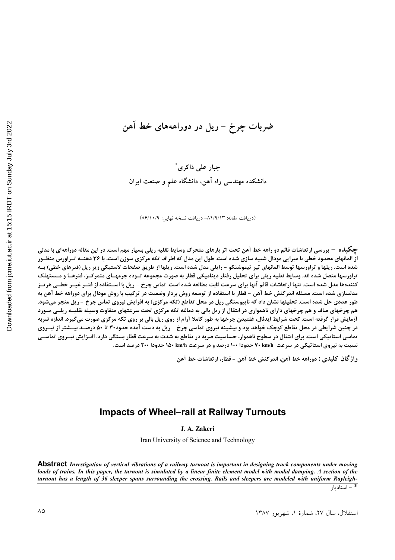## ضربات چرخ – ریل در دوراهههای خط آهن

جبار على ذاكرى<sup>\*</sup> دانشکده مهندسی راه آهن، دانشگاه علم و صنعت ایران

(دريافت مقاله: ٨۴/٩/١٣- دريافت نسخه نهايي: ٨٦/١٠/٩)

**چگیل**ه – بررسی ارتعاشات قائم دو راهه خط آهن تحت اثر بارهای متحرک وسایط نقلیه ریلی بسیار مهم است. در این مقاله دوراههای با مدلی از المانهای محدود خطی با میرایی مودال شبیه سازی شده است. طول این مدل که اطراف تکه مرکزی سوزن است، با ۳۶ دهنــه تـراورس منظــور شده است. ریلها و تراورسها توسط المانهای تیر تیموشنکو - رایلی مدل شده است. ریلها از طریق صفحات لاستیکی زیر ریل (فنرهای خطی) بـه تراورسها متصل شده اند. وسایط نقلیه ریلی برای تحلیل رفتار دینامیکی قطار به صورت مجموعه تــوده جرمهــای متمركــز، فنرهــا و مــستهلک کنندهها مدل شده است. تنها ارتعاشات قائم آنها برای سرعت ثابت مطالعه شده است. تماس چرخ - ریل با اســتفاده از فنــر غيــر خطــی هرتــز مدلسازی شده است. مسئله اندرکنش خط آهن – قطار با استفاده از توسعه روش بردار وضعیت در ترکیب با روش مودال برای دوراهه خط آهن به طور عددی حل شده است. تحلیلها نشان داد که ناپیوستگی ریل در محل تقاطع (تکه مرکزی) به افزایش نیروی تماس چرخ - ریل منجر میشود. هم چرخهای صاف و هم چرخهای دارای ناهمواری در انتقال از ریل بالی به دماغه تکه مرکزی تحت سرعتهای متفاوت وسیله نقلیـه ریلـی مـورد آزمایش قرار گرفته است. تحت شرایط ایدئال، غلتیدن چرخها به طور کاملا آرام از روی ریل بالی بر روی تکه مرکزی صورت میگیرد. اندازه ضربه در چنین شرایطی در محل تقاطع کوچک خواهد بود و بیشینه نیروی تماسی چرخ - ریل به دست آمده حدود۳۰ تا ۵۰ درصـد بیــشتر از نیــروی تماسی استاتیکی است. برای انتقال در سطوح ناهموار، حساسیت ضربه در تقاطع به شدت به سرعت قطار بستگی دارد. افــزایش نیــروی تماســی نسبت به نیروی استاتیکی در سرعت V+ km/h حدودا ۱۰۰ درصد و در سرعت ۱۵۰ km/h حدودا ۲۰۰ درصد است.

**واژ** گان کلیدی : دوراهه خط آهن، اندرکنش خط آهن – قطار، ارتعاشات خط آهن

#### **Impacts of Wheel–rail at Railway Turnouts**

**J. A. Zakeri** 

Iran University of Science and Technology

**Abstract** *Investigation of vertical vibrations of a railway turnout is important in designing track components under moving loads of trains. In this paper, the turnout is simulated by a linear finite element model with modal damping. A section of the turnout has a length of 36 sleeper spans surrounding the crossing. Rails and sleepers are modeled with uniform Rayleigh-* 

 $\sqrt{a^2-a^2}$ استادیار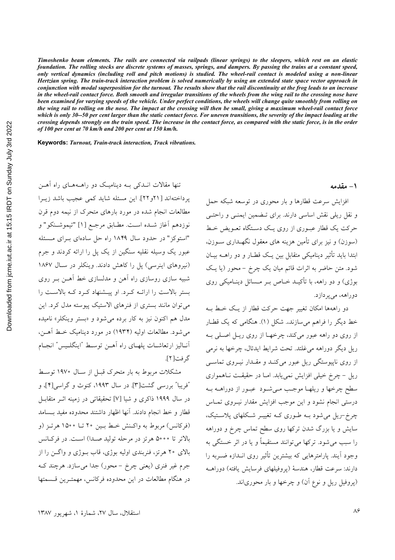*Timoshenko beam elements. The rails are connected via railpads (linear springs) to the sleepers, which rest on an elastic foundation. The rolling stocks are discrete systems of masses, springs, and dampers. By passing the trains at a constant speed, only vertical dynamics (including roll and pitch motions) is studied. The wheel-rail contact is modeled using a non-linear Hertzian spring. The train-track interaction problem is solved numerically by using an extended state space vector approach in conjunction with modal superposition for the turnout. The results show that the rail discontinuity at the frog leads to an increase*  in the wheel-rail contact force. Both smooth and irregular transitions of the wheels from the wing rail to the crossing nose have *been examined for varying speeds of the vehicle. Under perfect conditions, the wheels will change quite smoothly from rolling on the wing rail to rolling on the nose. The impact at the crossing will then be small, giving a maximum wheel-rail contact force which is only 30--50 per cent larger than the static contact force. For uneven transitions, the severity of the impact loading at the crossing depends strongly on the train speed. The increase in the contact force, as compared with the static force, is in the order of 100 per cent at 70 km/h and 200 per cent at 150 km/h.* 

**Keywords:** *Turnout, Train-track interaction, Track vibrations.* 

**۱**– مقدمه

افزایش سرعت قطارها و بار محوری در توسعه شبکه حمل و نقل ریلی نقش اساسی دارند. برای تـضمین ایمنـی و راحتـی حرکت یک قطار عبـوری از روی یـک دسـتگاه تعـویض خـط (سوزن) و نیز برای تامین هزینه های معقول نگهــداری ســوزن، ابتدا باید تأثیر دینامیکی متقابل بین یک قطـار و دو راهــه بیــان شود. متن حاضر به اثرات قائم میان یک چرخ – محور (یا یک بوژی) و دو راهه، با تأکیــد خــاص بــر مــسائل دینــامیکی روی دوراهه، می پردازد. دو راههها امکان تغییر جهت حرکت قطار از یک خـط بـه

خط دیگر را فراهم میسازند. شکل (۱). هنگام<sub>ی</sub> که یک قطـار از روى دو راهه عبور مى كند، چرخهـا از روى ريـل اصـلى بـه ریل دیگر دوراهه می،غلتد. تحت شرایط ایدئال، چرخها به نرمی از روی ناپیوستگی ریل عبور میکند و مقـدار نیـروی تماسـی ريل – چرخ خيلي افزايش نمي يابد. امـا در حقيقـت نـاهمواري سطح چرخها و ريلهـا موجـب مـي شـود عبـور از دوراهــه بــه درستی انجام نشود و این موجب افزایش مقدار نیـروی تمـاس چرخ-ریل می شود بـه طـوری کـه تغییـر شـکلهای پلاسـتیک، سایش و یا بزرگ شدن ترکها روی سطح تماس چرخ و دوراهه را سبب میشود. ترکها می توانند مستقیماً و یا در اثر خستگے به وجود آیند. پارامترهایی که بیشترین تأثیر روی انــدازه ضــربه را دارند: سرعت قطار، هندسهٔ (يروفيلهاي فرسايش يافته) دوراهــه (پروفيل ريل و نوع آن) و چرخها و بار محورياند.

تنها مقالات انــدکی بــه دینامیــک دو راهــههــای راه آهــن پرداختهاند [٢١و٢٢]. این مسئله شاید کمی عجیب باشد زیـرا مطالعات انجام شده در مورد بارهای متحرک از نیمه دوم قرن نوزدهم أغاز شـده اسـت. مطـابق مرجـع [۱] "تيموشـنكو" و "استوکز " در حدود سال ۱۸۴۹ راه حل سادهای بــرای مــسئله عبور یک وسیله نقلیه سنگین از یک پل را ارائه کردند و جرم (نیروهای اینرسی) پل را کاهش دادند. وینکلر در سـال ۱۸۶۷ شبیه سازی روسازی راه آهن و مدلسازی خط آهــ; بــر روی بستر بالاست را ارائـه كـرد. او پيـشنهاد كـرد كـه بالاسـت را میتوان مانند بستری از فنرهای الاستیک پیوسته مدل کرد. این مدل هم اکنون نیز به کار برده میشود و «بستر وینکلر» نامیده می شود. مطالعات اولیه (۱۹۳۴) در مورد دینامیک خط آهـن، أنــاليز ارتعاشــات يلهــاي راه أهــن توســط "اينگلــيس" انجــام گر فت[۲].

مشکلات مربوط به بار متحرک قبــل از ســال ۱۹۷۰ توســط "فریبا" بررسی گشت[۳]. در سال ۱۹۹۳، کنوث و گراسی[۴]، و در سال ۱۹۹۹ ذاکری و شیا [۷] تحقیقات<sub>ی</sub> در زمینه اثــر متقابــل قطار و خط انجام دادند. أنها اظهار داشتند محدوده مفيد بــسامد (فركانس) مربوط به واكـنش خـط بـين ٢٠ تــا ١۵٠٠ هرتـز (و بالاتر تا ٥٠٠٥ هرتز در مرحله توليد صدا) است. در فركانس بالای ۲۰ هرتز، فنربندی اولیه بوژی، قاب بوژی و واگن را از جرم غیر فنری (یعنی چرخ – محور) جدا میسازد. هرچند ک در هنگام مطالعات در این محدوده فرکانس، مهمتـرین قـسمتها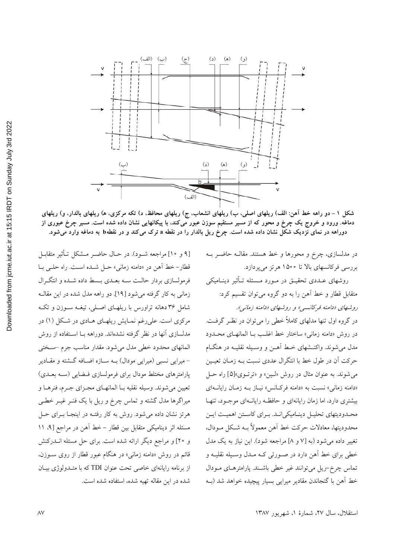

شکل ۱ – دو راهه خط آهن: الف) ریلهای اصلی، ب) ریلهای انشعاب، ج) ریلهای محافظ، د) تکه مرکزی، ه) ریلهای بالدار، و) ریلهای دماغه. ورود و خروج یک چرخ و محور که از مسیر مستقیم سوزن عبور میکند، با پیکانهایی نشان داده شده است. مسیر چرخ عبوری از دوراهه در نمای نزدیک شکل نشان داده شده است. چرخ ریل بالدار را در نقطه a ترک میکند و در نقطهb به دماغه وارد میشود.

[۹ و ۱۰] مراجعه شــود). در حــال حاضــر مــشكل تــأثير متقابــل قطار- خط آهن در «دامنه زماني» حـل شـده اسـت. راه حلـي بـا فرمولسازي بردار حالـت سـه بعـدي بـسط داده شـده و انتگـرال زمانی به کار گرفته میشود [۱۹]. دو راهه مدل شده در این مقالـه شامل ۳۶ دهانه تراورس با ریلهـای اصـلی، تیغـه سـوزن و تکـه مرکزی است. علی رغم نمـایش ریلهـای هـادی در شـکل (۱) در مدلسازی آنها در نظر گرفته نشدهاند. دوراهه بــا اســتفاده از روش المانهای محدود خطی مدل میشود. مقدار مناسب جرم –سختی – میرایی نسبی (میرایی مودال) بــه ســازه اضــافه گـــشته و مقــادیر پارامترهای مختلط مودال برای فرمولسازی فهایی (سه بعـدی) تعيين مي شوند. وسيله نقليه بــا المانهــاي مجــزاي جــرم، فنرهــا و میراگرها مدل گشته و تماس چرخ و ریل با یک فنـر غیـر خطـی هرتز نشان داده میشود. روش به کار رفتـه در اینجـا بـرای حـل مسئله اثر دینامیکی متقابل بین قطار – خط آهن در مراجع [۹، ۱۱ و ٢٥] و مراجع ديگر ارائه شده است. براي حل مسئله انــدركنش قائم در روش «دامنه زمانی» در هنگام عبور قطار از روی سـوزن، از برنامه رایانهای خاصی تحت عنوان TDI که با متـدولوژی بیـان شده در این مقاله تهیه شده، استفاده شده است.

بررسی فرکانسهای بالا تا ۱۵۰۰ هرتز میپردازد. روشهای عــددی تحقیــق در مــورد مــسئله تــأثیر دینــامیکی متقابل قطار و خط آهن را به دو گروه میتوان تقسیم کرد: روشهای «دامنه فرکانسی» و روشهای «دامنه زمانی». در گروه اول تنها مدلهای کاملاً خطی را میتوان در نظـر گرفـت. در روش «دامنه زمانی» ساختار خط اغلـب بــا المانهــای محــدود مدل می شوند. واکنــشهای خـط آهــن و وســیله نقلیــه در هنگــام حركت أن در طول خط با انتگرال عددي نسبت بـه زمـان تعيـين مي شوند. به عنوان مثال در روش «لين» و «ترتـوي»[۵] راه حـل «دامنه زمانی» نسبت به «دامنه فرکـانس» نیـاز بـه زمـان رایانـهای بیشتری دارد، اما زمان رایانهای و حافظـه رایانــهای موجــود، تنهـا محدوديتهاي تحليـل دينـاميكي|نـد. بـراي كاسـتن اهميـت ايـن محدوديتها، معادلات حركت خط أهن معمولاً بــه شــكل مــودال،

در مدلسازی، چرخ و محورها و خط هستند. مقالــه حاضــر بــه

تغییر داده می شود (به [۷ و ۸] مراجعه شود). این نیاز به یک مدل خطي براي خط آهن دارد در صـورتي کـه مـدل وسـيله نقليـه و تماس چرخ-ریل می توانند غیر خطی باشند. پارامترهـای مـودال خط آهن با گنجاندن مقادیر میرایی بسیار پیچیده خواهد شد (به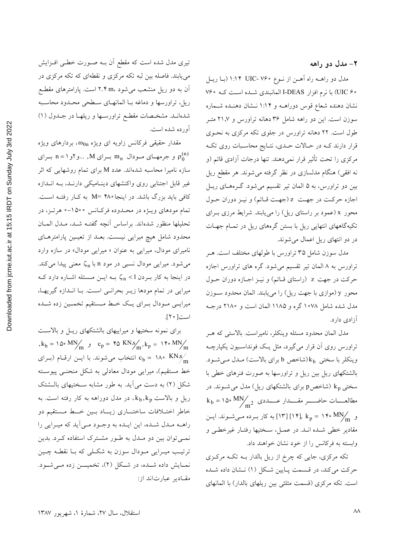مدل دو راهــه راه آهــن از نــوع ۷۶۰ WIC ۱:۱۴ (بــا ريــل ۴۰ UIC) با نرم افزار I-DEAS المانبندی شـده اسـت کـه ۷۶۰ نشان دهنده شعاع قوس دوراهــه و ۱:۱۴ نــشان دهنــده شــماره سوزن است. این دو راهه شامل ۳۶ دهانه تراورس و ۲۱٫۷ متـر طول است. ۲۲ دهانه تراورس در جلوی تکه مرکزی به نحـوی قرار دارند کـه در حـالات حـدي، نتـايج محاسـبات روي تکـه مرکزی را تحت تأثیر قرار نمیدهند. تنها درجات آزادی قائم (و نه افقی) هنگام مدلسازی در نظر گرفته می شوند. هر مقطع ریل بین دو تراورس، به ۵ المان تیر تقسیم می شود. گـرههـای ریـل اجازه حركت در جهت z (جهت قـائم) و نيـز دوران حـول محور x (عمود بر راستای ریل) را مییابند. شرایط مرزی بـرای تکیهگاههای انتهایی ریل با بستن گرههای ریل در تمـام جهـات در دو انتهای ریل اعمال میشوند.

مدل سوزن شامل ۳۵ تراورس با طولهای مختلف است. هـر تراورس به ۸ المان تیر تقسیم میشود. گره های تراورس اجازه حركت در جهت z (راستاي قـائم) و نيـز اجـازه دوران حـول محور y (موازي با جهت ريل) را مي يابند. المان محدود سوزن مدل شده شامل ۱۰۷۸ گره و ۱۱۸۵ المان است و ۲۱۸۰ درجـه آزادی دارد.

مدل المان محدود مسئله وينكلر، ناميراست. بالاستى كه هـر تراورس روی آن قرار میگیرد، مثل یک فونداسـیون یکپارچــه وينكلر با سختى kb(شاخص b براي بالاست) مـدل مـى شـود. بالشتکهای ریل بین ریل و تراورسها به صورت فنرهای خطی با سختی k (شاخصp برای بالشتکهای ریل) مدل می شــوند. در و ۱۴۰ MN/m (۱۴ ) به کار بـرده مـیشـوند. ایـن مقادیر خطی شـده انـد. در عمـل، سـختیها رفتـار غیرخطـی و وابسته به فرکانس را از خود نشان خواهند داد.

تکه مرکزی، جایی که چرخ از ریل بالدار بـه تکـه مرکـزی حرکت میکند، در قـسمت پـایین شـکل (۱) نـشان داده شـده است. تکه مرکزی (قسمت مثلثی بین ریلهای بالدار) با المانهای

<sub>.</sub><br>تیری مدل شده است که مقطع آن بــه صــورت خطــی افــزایش می پابند. فاصله بین لبه تکه مرکزی و نقطهای که تکه مرکزی در آن به دو ریل منشعب میشود ،۲.۴ m است. پارامترهای مقطع ریل، تراورسها و دماغه بـا المانهـای سـطحی محـدود محاسـبه شدهانـد. مشخـصات مقطـع تراورسـها و ريلهـا در جـدول (۱) آورده شده است.

مقدار حقیقی فرکانس زاویه ای ویژه  $\omega_{0\mathrm{n}}$ ، بردارهای ویژه و جرمهای مودال  $\text{m}_\text{n}$  برای M, ...و  $\text{p}_0^{(\text{n})}$  برای  $\text{p}_0^{(\text{n})}$ سازه نامیرا محاسبه شدهاند. عدد M برای تمام روشهایی که اثر غیر قابل اجتنابی روی واکنشهای دینـامیکی دارنـد، بـه انــدازه کافی باید بزرگ باشد. در اینجا۲۸۰ =M به کـار رفتـه اسـت. تمام مودهای ویـژه در محـدوده فرکـانس ۱۵۰۰-۰ هرتـز، در تحليلها منظور شدهاند. براساس أنچه گفتـه شـد، مـدل المـان محدود شامل هیچ میرایی نیست. بعـد از تعیـین پارامترهـای نامیرای مودال، میرایی به عنوان « میرایی مودال» در سازه وارد میشود. میرایی مودال نسبی در مود n با <sub>n</sub>ζ معنی پیدا میکند. در اینجا به کار بـردن 1 $\zeta_{\rm n} < 1$  بــه ایــن مــسئله اشــاره دارد کــه میرایی در تمام مودها زیـر بحرانـی اسـت. بـا انـدازه گیریهـا، میرایسی مــودال بــرای یــک خــط مــستقیم تخمــین زده شــده است[ ٢٠].

برای نمونه سختیها و میراییهای بالشتکهای ریـل و بالاسـت ,  $k_b = 10$ ° MN $_{\text{m}}$   $\theta$   $c_p = 100$  KNs  $_{\text{m}}$ ,  $k_p = 110$ ° MN $_{\text{m}}$ انتخاب میشوند. با ایــن ارقــام (بــرای  $c_{\rm b} = \sqrt{N} \cdot \frac{1}{m}$ .<br>خط مستقیم)، میرایی مودال معادل<sub>ی</sub> به شکل منحنـی پیوسـته شکل (۲) به دست میآید. به طور مشابه سـختیهای بالـشتک ریل و بالاست  $\rm{k_{b}},\rm{k_{p}}$ ، در مدل دوراهه به کار رفته است. به خاطر اختـلافات ساختـــاري زيـــاد بــين خـــط مــستقيم دو راهـه مـدل شـده، اين ايـده به وجـود مـي آيد كه ميـرايي را نمــیتوان بین دو مــدل به طــور مشــترک استفاده کــرد. بدین ترتیب میــرایی مــودال سوزن به شکــلی که بــا نقطــه چــین نمـايش داده شــده، در شـكل (٢)، تخميـــن زده مــيشــود. مقادیر عبارتاند از: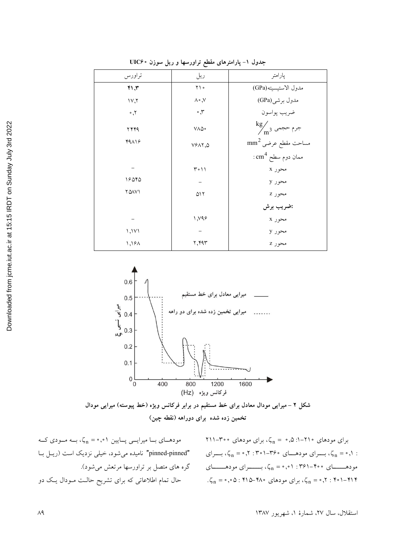| ے د -- - -<br>.         |                        |                                         |
|-------------------------|------------------------|-----------------------------------------|
| تراورس                  | ريل                    | پارامتر                                 |
| 41.7                    | $\gamma \wedge$        | مدول الاستيسيته(GPa)                    |
| 1V,7                    | $\wedge \circ \wedge$  | مدول برشي(GPa)                          |
| $^{\circ}$ . $^{\circ}$ | $\cdot$ , $\mathsf{r}$ | ضريب پواسون                             |
| ۲۴۴۹                    | VAQ.                   | $\frac{\text{kg}}{\text{m}^3}$ جرم حجمی |
| $44\lambda$             | VYAY,Q                 | $\mathrm{mm}^2$ عرضی ساحت مقطع عرضی     |
|                         |                        | $\rm cm^4$ ممان دوم سطح.                |
|                         | ۰۱۱ م۳                 | محور x                                  |
| ۱۶۵۴۵                   |                        | محور y                                  |
| <b>YQAV1</b>            | ۵۱۲                    | محور Z                                  |
|                         |                        | :ضريب برش                               |
|                         | 1, 49                  | محور x                                  |
| 1,111                   |                        | محور y                                  |
| 1,19A                   | ۲,۴۹۳                  | محور z                                  |
|                         |                        |                                         |

جدول ۱- یارامترهای مقطع تراورسها و ریل سوزن • UIC۶



شکل ۲ – میرایی مودال معادل برای خط مستقیم در برابر فرکانس ویژه (خط پیوسته) میرایی مودال تخمین زده شده برای دوراهه (نقطه چین)

> $Y$ برای مودهای ۲۱۰-۰: ۰٫۵ =  $\zeta_n = \zeta_n$ ، برای مودهای ۲۰۰۰-، ۰٫۱ = ۰٫۲ بسرای مودهــای ۳۶۰–۰۳۰۱ : ۰٫۲ برای ۰٫۲ .  $\zeta_n = \cdot, \circ \omega : \mathfrak{h} \wedge \circ \omega$ ۰ برای مودهای ۴۸۰ $\zeta_n = \zeta_n = \cdot, \mathfrak{r} : \mathfrak{h} \circ \omega$

مودهای با میرایسی پایین ۰٫۰۱ = ۲٫ به مودی که "pinned-pinned" نامیده می شود، خیلی نزدیک است (ریـل بـا گره های متصل بر تراورسها مرتعش میشود). حال تمام اطلاعاتی که برای تشریح حالـت مـودال یـک دو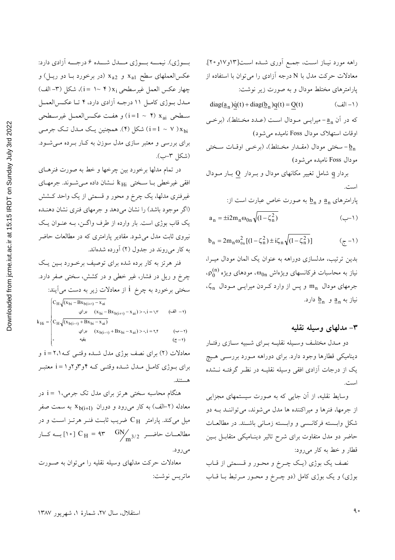Oownloaded from jcme.jut.ac.ir at 15:15 IRDT on Sunday July 3rd 2022

بوژي). نيمـــه بـــوژي مـــدل شـــده ۶ درجـــه آزادي دارد: عکسالعملهای سطح x<sub>a1</sub> و x<sub>a2</sub> (در برخورد بـا دو ريـل) و چهار عكس العمل غيرسطحي i = ۱∼ ۴))، شكل (۳- الف) مـدل بـوژي كامـل ١١ درجــه آزادي دارد، ۴ تــا عكـسالعمــل سطحي i=1 ~ (٢ × ١=1) و هفت عكسالعمـل غيرسـطحي شکل (۴). همچنین یک مدل تک جرمـی (۱۰) شکل (۴). همچنین یک برای بررسی و معتبر سازی مدل سوزن به کـار بـرده مـیشـود. (شكل ٣-ب).

در تمام مدلها برخورد بين چرخها و خط به صورت فنرهـاي افقی غیرخطی بـا سـختی kHi نـشان داده مـیشـوند. جرمهـای غیرفنری مدلها، یک چرخ و محور و قسمتی از یک واحد کــشش (اگر موجود باشد) را نشان می دهد و جرمهای فنری نشان دهنـده یک قاب بوژی است. بار وارده از طرف واگـن، بـه عنـوان یـک نیروی ثابت مدل میشود. مقادیر پارامتری که در مطالعات حاضر به کار میروند در جدول (۲) آورده شدهاند.

فنر هرتز به کار برده شده برای توصیف برخورد بسین یک چرخ و ریل در فشار، غیر خطی و در کشش، سختی صفر دارد. سختی برخورد به چرخ i از معادلات زیر به دست می]یند:  $C_{\text{H}}\sqrt{(x_{\text{bi}}-Bx_{\text{b}(i+1)}-x_{\text{ai}})}$  $(x_{bi} - Bx_{b(i+\gamma)} - x_{ai}) > 0, i = \gamma, \tau$  $(1 - 1)$ انف)  $k_{\text{Hi}} = \frac{1}{2} C_{\text{H}} \sqrt{(x_{\text{b}(i-1)} + Bx_{\text{bi}} - x_{\text{ai}})}$ براي  $(x_{b(i-\gamma)} + Bx_{bi} - x_{ai}) > 0, i = r, r$  $(1 - \tau)$  $(\zeta - \gamma)$ معادلات (۲) برای نصف بوژی مدل شـده وقتـی کـه ۲،۱ = i و برای بـوژی کامـل مـدل شـده وقتـی کـه ۴و۳و۲و۱ = i معتبـر هستند.

هنگام محاسبه سختی هرتز برای مدل تک جرمی،۱ = i در معادله (۲-الف) به کار میرود و دوران  $\mathrm{X}_{\mathrm{b}(i+1)}$  به سمت صفر میل میکند. پارامتر  $\rm \,C_{\,H}$  ضریب ثابـت فنـر هرتـز اسـت و در مطالعــات حاضــر  $\rm C_{\rm H} = 4$ ۳ مطالعــات حاضــر  $\rm C_{\rm H} = 4$ ۳ مطالعــات حاضــر مي رود. معادلات حرکت مدلهای وسیله نقلیه را می توان به صـورت

ماتريس نوشت:

راهه مورد نيـاز اسـت، جمـع آوري شـده اسـت[١٣و١٧و٢٠]. معادلات حرکت مدل با N درجه آزادی را می توان با استفاده از پارامترهای مختلط مودال و به صورت زیر نوشت:  $diag(\underline{a}_n)\dot{q}(t) + diag(\underline{b}_n)q(t) = Q(t)$  $($  \ – الف) که در آن a, - میرایـی مـودال اسـت (عـدد مخـتلط)، (برخـی اوقات استهلاک مودال Foss نامیده می شود) - سختی مودال (مقـدار مخـتلط)، (برخـی اوقـات سـختی مودال Foss نامیده می شود) بردار q شامل تغییر مکانهای مودال و بـردار Q بـار مـودال است.  $\epsilon$ ارامترهای  $a_n$  و  $b_n$  به صورت خاص عبارت است از

$$
a_n = \pm i 2m_n \omega_{0n} \sqrt{(1 - \zeta_n^2)}
$$
 (–1)

$$
b_n = 2m_n \omega_{0n}^2 [(1 - \zeta_n^2) \pm i \zeta_n \sqrt{(1 - \zeta_n^2)}]
$$
 (z-1)

بدین ترتیب، مدلسازی دوراهه به عنوان یک المان مودال میـرا،  $\mathfrak{c}_0^{(\rm n)}$ نیاز به محاسبات فرکانسهای ویژهاش  $\mathfrak{a}_{0\rm n}$ ، مودهای ویژه  $\zeta_n$  جرمهای مودال  $m_n$  و پس از وارد کردن میرایسی مودال نياز به  $\underline{a}_n$  و  $\underline{b}_n$  دارد.

#### ۳– مدلهای وسیله نقلیه

دو مـدل مختلـف وسـيله نقليــه بــراي شـبيه ســازي رفتــار دینامیکی قطارها وجود دارد. برای دوراهه مورد بررسـی هـیچ یک از درجات آزادی افقی وسیله نقلیـه در نظـر گرفتـه نــشده

وسایط نقلیه، از آن جایی که به صورت سیستمهای مجزایی از جرمها، فنرها و ميراكننده ها مدل مي شوند، مي تواننـد بـه دو شکل وابسته فرکانسی و وابسته زمانی باشند. در مطالعات حاضر دو مدل متفاوت برای شرح تاثیر دینامیکی متقابـل بـین قطار و خط به کار می رود:

نصف یک بوژی (یک چـرخ و محـور و قــسمتی از قــاب بوژی) و یک بوژی کامل (دو چـرخ و محـور مـرتبط بـا قـاب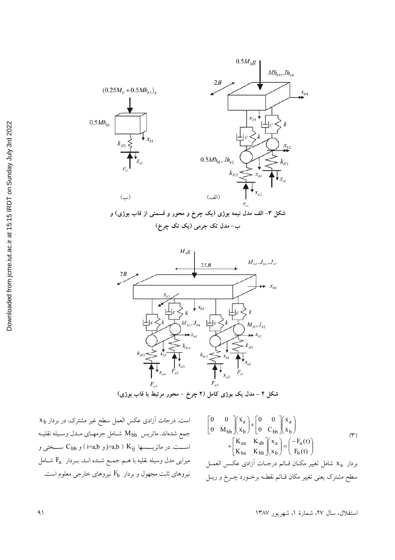



**(0A 8X >& A<& -J) & 0A E K& – Q 3**

 $\mathrm{x}_\mathrm{b}$  است. درجات آزادی عکس العمل سطح غیر مشترک، در بردار جمع شدهاند. ماتريس  $\rm M_{bb}$  شـامل جرمهـاي مـدل وسـيله نقليـه و (i=a,b ) K<sub>ij</sub> اســـت. در ماتريــــسها  $\mathsf{K}_{\mathsf{ij}}$  =a,b )  $\mathsf{K}_{\mathsf{ij}}$  ســختى و میرایی مدل وسیله نقلیه با هــم جمـع شــده انــد. بــردار  $\rm{F_{a}}$  شــامل نیروهای ثابت مجهول و بردار  $\rm F_b$  نیروهای خارجی معلوم است.

$$
\begin{bmatrix} 0 & 0 \ 0 & M_{bb} \end{bmatrix} \begin{bmatrix} \ddot{x}_a \\ \ddot{x}_b \end{bmatrix} + \begin{bmatrix} 0 & 0 \ 0 & C_{bb} \end{bmatrix} \begin{bmatrix} \dot{x}_a \\ \dot{x}_b \end{bmatrix}
$$
  
+ 
$$
\begin{bmatrix} K_{aa} & K_{ab} \\ K_{ba} & K_{bb} \end{bmatrix} \begin{bmatrix} x_a \\ x_b \end{bmatrix} = \begin{bmatrix} -F_a(t) \\ F_b(t) \end{bmatrix}
$$
  
1. 
$$
x_a = x_a + y_b
$$
  
2. 
$$
x_a = x_b + y_b
$$
  
2. 
$$
x_b = x_b + y_b
$$
  
3. 
$$
x_b = x_b + y_b
$$
  
4. 
$$
x_b = x_b + y_b
$$
  
5. 
$$
x_b = x_b + y_b
$$
  
6. 
$$
x_b = x_b + y_b
$$
  
7. 
$$
x_b = x_b + y_b
$$
  
8. 
$$
x_b = x_b + y_b
$$
  
9. 
$$
x_b = x_b + y_b
$$
  
10. 
$$
x_b = x_b + y_b
$$
  
11. 
$$
x_b = x_b + y_b
$$
  
12. 
$$
x_b = x_b + y_b
$$
  
13. 
$$
x_b = x_b + y_b
$$
  
14. 
$$
x_b = x_b + y_b
$$
  
15. 
$$
x_b = x_b + y_b
$$
  
16. 
$$
x_b = x_b + y_b
$$
  
17. 
$$
x_b = x_b + y_b
$$
  
18. 
$$
x_b = x_b + y_b
$$
  
19. 
$$
x_b = x_b + y_b
$$
  
10. 
$$
x_b = x_b + y_b
$$
  
11. 
$$
x_b = x_b + y_b
$$
  
12. 
$$
x_b = x_b + y_b
$$
  
13. 
$$
x_b = x_b + y_b
$$
  
14. 
$$
x_b = x_b + y_b
$$
  
15. 
$$
x_b = x_b + y_b
$$
  
16. 
$$
x_b = x_b +
$$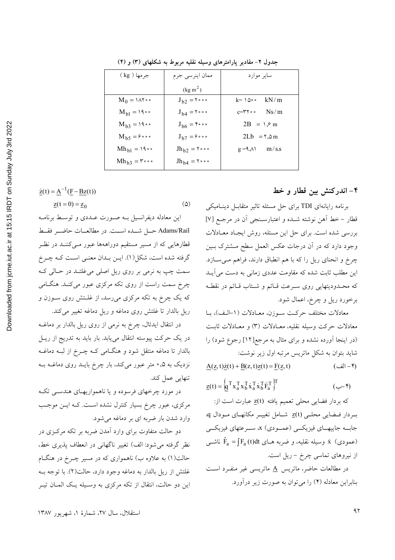|                                                                                  | جر مها ( Kg )                   |
|----------------------------------------------------------------------------------|---------------------------------|
|                                                                                  |                                 |
|                                                                                  | $M_0 = 1 \wedge 7 \cdot \cdot$  |
|                                                                                  | $M_{bl} = 19 \cdot \cdot$       |
|                                                                                  | $M_{b3} = 19$ .                 |
|                                                                                  | $M_{b5} = 60$                   |
|                                                                                  | $Mh_{b1} = 19$ .                |
|                                                                                  | $Mh_{b3} = r \cdot \cdot \cdot$ |
|                                                                                  |                                 |
| $\underline{\dot{z}}(t) = \underline{A}^{-1}(\underline{F} - \underline{Bz}(t))$ |                                 |
| $\underline{z}(t = 0) = \underline{z}_0$                                         |                                 |
| مدنه از لیبرم بین ملدی میتند طیامه                                               |                                 |

جدول ۲- مقادیر پارامترهای وسیله نقلیه مربوط به شکلهای (۳) و (۴)

ممان اينرسى جرم

 $(\text{kg m}^2)$  $J_{h2} = 5000$ 

 $J_{b4} = 5 \circ \circ$ 

 $J_{b6} = \frac{6}{3}$ 

 $J_{b7} = 9 \circ \circ \circ$  $Jh_{b2} = Y \cdot \cdot \cdot$ 

 $Jh_{b4} = Y \circ \circ \circ$ 

 $\omega$ 

# این معادله دیفرانسیل بــه صــورت عــددی و توســط برنامــه Adams/Rail حسل شبده است. در مطالعبات حاضيه فقبط قطارهایی که از مسیر مستقیم دوراههها عبور مـیکننــد در نظـر گرفته شده است، شکل(۱). ایـن بـدان معنـی اسـت کـه چـرخ سمت چپ به نرمی بر روی ریل اصلی می غلتـد در حـالی کـه چرخ سمت راست از روی تکه مرکزی عبور میکند. هنگامی که یک چرخ به تکه مرکزی میرسد، از غلـتش روی سـوزن و ریل بالدار تا غلتش روی دماغه و ریل دماغه تغییر می کند.

در انتقال ایدئال، چرخ به نرمی از روی ریل بالدار بر دماغــه در یک حرکت پیوسته انتقال می یابد. بار باید به تدریج از ریـل بالدار تا دماغه منتقل شود و هنگــامی کــه چــرخ از لبــه دماغــه نزدیک به ۰٫۵ متر عبور میکند، بار چرخ بایـد روی دماغـه بـه تنهایی عمل کند.

در مورد چرخهای فرسوده و یا ناهمواریهای هندسـی تکـه مرکزی، عبور چرخ بسیار کنترل نشده است. کـه ایــن موجـب وارد شدن بار ضربه ای بر دماغه می شود.

دو حالت متفاوت برای وارد آمدن ضربه بر تکه مرکـزی در نظر گرفته می شود: الف) تغییر ناگهانی در انعطاف پذیری خط، حالت(۱) به علاوه ب) ناهمواری که در مسیر چــرخ در هنگــام غلتش از ريل بالدار به دماغه وجود دارد، حالت(٢). با توجه بـه این دو حالت، انتقال از تکه مرکزی به وسـیله یـک المـان تیـر

## ۴– اندرکنش بین قطار و خط

برنامه رایانهای TDI برای حل مسئله تاثیر متقابـل دینـامیکی قطار – خط أهن نوشته شـده و اعتبارسـنجي أن در مرجـع [٧] بررسی شده است. برای حل این مسئله، روش ایجاد معـادلات وجود دارد که در آن درجات عکس العمل سطح مــشترک بــين چرخ و انحنای ریل را که با هم انطباق دارند، فراهم می سازد. این مطلب ثابت شده که مقاومت عددی زمانی به دست می آیـد که محـدودیتهایی روی سـرعت قـائم و شـتاب قـائم در نقطـه برخورد ريل و چرخ، اعمال شود.

سایر موارد

 $2B = \sqrt{9}$  m

 $2Lb = 7, \delta m$ 

 $kN/m$ 

 $Ns/m$ 

 $m/s.s$ 

 $k = 100$ 

 $c = r \gamma \circ \circ$ 

 $g = 9, \triangle$ 

معادلات مختلف حركت سوزن، معـادلات (١-الـف)، بـا معادلات حركت وسيله نقليه، معـادلات (٣) و معـادلات ثابـت (در اینجا آورده نشده و برای مثال به مرجع[۱۲] رجوع شود) را شاید بتوان به شکل ماتریس مرتبه اول زیر نوشت:

 $\underline{A}(\underline{z},t)\underline{\dot{z}}(t) + \underline{B}(z,t)\underline{z}(t) = \underline{F}(\underline{z},t)$  $($ ۲– الف)

$$
\underline{z}(t) = \left(\underline{q}^T x_a^T x_b^T \dot{x}_a^T \dot{x}_b^T \dot{F}_a^T\right)^T
$$
 (J)

كه بردار فضايي محلي تعميم يافته 2(t) عبارت است از: بردار فرضایی محلـی z(t) شـامل تغییـر مکانهـای مـودال q. جابه جاييهـاي فيزيكــي (عمــودي) x، ســرعتهاي فيزيكــي ناشــي) تا في نقليه، و ضربه هــاى  $\hat{\mathrm{F}}_{\mathrm{a}} = \int \mathrm{F}_{\mathrm{a}}\left(t\right)$  ناشــي) از نیروهای تماسی چرخ - ریل است.

در مطالعات حاضر، ماتریس A ماتریسی غیر منفـرد اسـت بنابراین معادله (۴) را می توان به صورت زیر درآورد.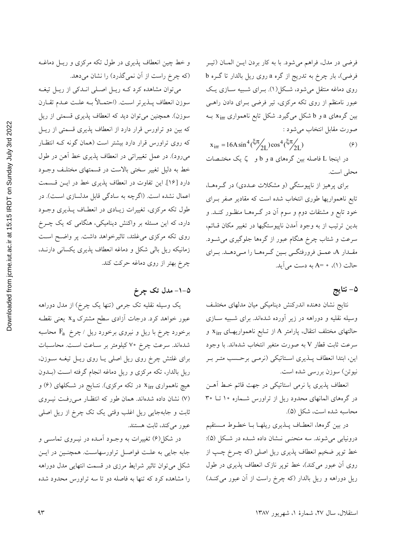فرضي در مدل، فراهم مي شود. با به كار بردن ايــن المــان (تيــر فرضی)، بار چرخ به تدریج از گره a روی ریل بالدار تا گـره b روی دماغه منتقل میشود، شکل(۱). بـرای شـبیه سـازی یـک عبور نامنظم از روی تکه مرکزی، تیر فرضی بـرای دادن راهـی بین گرههای a و b شکل میگیرد. شکل تابع ناهمواری x $_{\rm irr}$  بـه صورت مقابل انتخاب میشود :

 $x_{irr} = 16A \sin^4(\frac{\xi \pi}{2I}) \cos^4(\frac{\xi \pi}{2I})$  $(5)$ 

در اینجا L فاصله بین گرههای a و b و کی یک مختـصات محلي است.

برای پرهیز از ناپیوستگی (و مشکلات عـددی) در گـرههـا، تابع ناهمواریها طوری انتخاب شده است که مقادیر صفر بـرای خود تابع و مشتقات دوم و سوم آن در گـرههـا منظـور کنــد. و بدین ترتیب از به وجود آمدن ناپیوستگیها در تغییر مکان قـائم، سرعت و شتاب چرخ هنگام عبور از گرهها جلوگیری می شــود. مقـدار A، عمـق فرورفتگـي بـين گـرههـا را مـيدهـد. بـراي حالت (١)، • =A به دست مي آيد.

## ۵– نتايج

نتايج نشان دهنده اندركنش ديناميكي ميان مدلهاى مختلىف وسیله نقلیه و دوراهه در زیر آورده شدهاند. برای شـبیه ســازی حالتهای مختلف انتقال، پارامتر A از تـابع ناهمواریهـای Xirr و سرعت ثابت قطار V به صورت متغیر انتخاب شدهاند. با وجود این، ابتدا انعطاف پــذیری اسـتاتیکی (نرمـی برحـسب متـر بـر نيوتن) سوزن بررسي شده است.

انعطاف پذیری یا نرمی استاتیکی در جهت قائم خـط آهـن در گرههای المانهای محدود ریل از تراورس شـماره ۱۰ تــا ۳۰ محاسبه شده است، شکل (۵).

در بین گرهها، انعطـاف پــذیری ریلهـا بــا خطــوط مــستقیم درونیابی می شوند. سه منحنـی نـشان داده شــده در شـکل (۵): خط توپر ضخیم انعطاف پذیری ریل اصلی (که چــرخ چــپ از روی آن عبور میکند)، خط توپر نازک انعطاف پذیری در طول ریل دوراهه و ریل بالدار (که چرخ راست از آن عبور میکنـد)

و خط چین انعطاف پذیری در طول تکه مرکزی و ریـل دماغــه (که چرخ راست از آن نمی گذرد) را نشان می دهد.

می توان مشاهده کرد کـه ريـل اصـلي انـدکي از ريـل تيغـه سوزن انعطاف پــذيرتر اســت. (احتمــالاً بــه علــت عــدم تقــارن سوزن). همچنین می توان دید که انعطاف پذیری قسمتی از ریل که بین دو تراورس قرار دارد از انعطاف پذیری قسمتی از ریـل که روی تراورس قرار دارد بیشتر است (همان گونه کـه انتظـار میرود). در عمل تغییراتی در انعطاف پذیری خط آهن در طول خط به دلیل تغییر سختی بالاست در قسمتهای مختلـف وجـود دارد [۱۶]. این تفاوت در انعطاف پذیری خط در ایـن قـسمت اعمال نشده است. (اگرچه به سادگی قابل مدلسازی است). در طول تکه مرکزی، تغییرات زیـادی در انعطـاف پــذیری وجــود دارد، که این مسئله بر واکنش دینامیکی، هنگامی که یک چــرخ روی تکه مرکزی می غلتد، تاثیرخواهد داشت. پر واضح است زمانیکه ریل بالی شکل و دماغه انعطاف پذیری یکسانی دارنـد، چرخ بهتر از روی دماغه حرکت کند.

## ۵-۱- مدل تک چرخ

یک وسیله نقلیه تک جرمی (تنها یک چرخ) از مدل دوراهه عبور خواهد کرد. درجات آزادی سطح مشترک x<sub>a</sub> یعنی نقطـه برخورد چرخ با ریل و نیروی برخورد ریل /چرخ  $\rm{F_a}$  محاسبه شدهاند. سرعت چرخ ۷۰ کیلومتر بر سـاعت اسـت. محاسـبات برای غلتش چرخ روی ریل اصلی یـا روی ریـل تیغـه سـوزن، ریل بالدار، تکه مرکزی و ریل دماغه انجام گرفته است (بــدون هیچ ناهمواری x<sub>irr</sub> در تکه مرکزی). نتـایج در شـکلهای (۶) و (۷) نشان داده شدهاند. همان طور که انتظار مـیرفـت نیـروی ثابت و جابهجایی ریل اغلب وقتی یک تک چرخ از ریل اصلی عبور مي كند، ثابت هستند.

در شکل(۶) تغییرات به وجـود آمـده در نیــروی تماســی و جابه جایی به علت فواصـل تراورسهاسـت. همچنـین در ایـن شکل می توان تاثیر شرایط مرزی در قسمت انتهایی مدل دوراهه را مشاهده کرد که تنها به فاصله دو تا سه تراورس محدود شده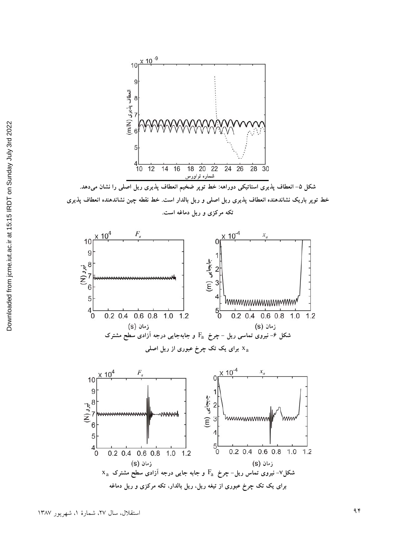

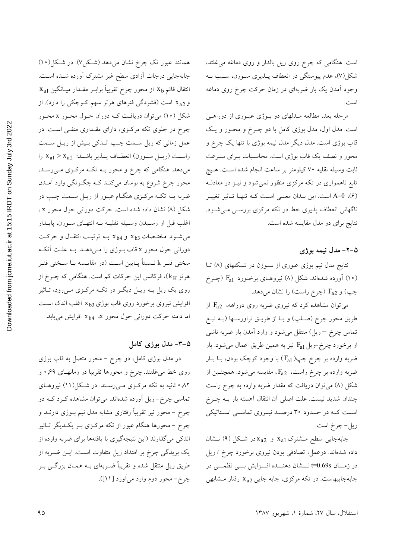است. هنگامی که چرخ روی ریل بالدار و روی دماغه می غلتد، شکل(۷)، عدم پیوستگی در انعطاف پــذیری ســوزن، ســبب بــه وجود آمدن یک بار ضربهای در زمان حرکت چرخ روی دماغه است.

مرحله بعد، مطالعه مــدلهای دو بــوژی عبــوری از دوراهــی است. مدل اول، مدل بوژی کامل با دو چـرخ و محـور و یـک قاب بوژی است. مدل دیگر مدل نیمه بوژی با تنها یک چرخ و محور و نصف یک قاب بوژی است. محاسبات بـرای سـرعت ثابت وسيله نقليه ٧٠ كيلومتر بر ساعت انجام شده اسـت. هـيچ تابع ناهمواری در تکه مرکزی منظور نمیشود و نیـز در معادلـه (۶)، A=0 است. این بـدان معنـی اسـت کـه تنهـا تـاثیر تغییـر ناگهانی انعطاف پذیری خط در تکه مرکزی بررسـی مـی شـود. نتایج برای دو مدل مقایسه شده است.

#### ۵-۲- مدل نیمه بوژی

نتایج مدل نیم بوژی عبوری از سـوزن در شـکلهای (۸) تــا (۱۰) آورده شدهاند. شکل (۸) نیروهـای برخـورد Fa1 (چــرخ چپ) و F<sub>a2</sub> (چرخ راست) را نشان میدهد.

می توان مشاهده کرد که نیروی ضربه روی دوراهه،  $F_{a2}$  از طريق محور چرخ (صـلب) و يـا از طريــق تراورســها (بــه تبــع تماس چرخ <sup>—</sup> ریل) منتقل میشود و وارد آمدن بار ضربه ناشی از برخورد چرخ-ریل  $F_{a1}$  نیز به همین طریق اعمال میشود. بار ضربه وارده بر چرخ چپ( F<sub>a1</sub>) با وجود کوچک بودن، بــا بــار ضربه وارده بر چرخ راست،  $F_{a2}$ ، مقایسه میشود. همچنـین از شکل (۸) میتوان دریافت که مقدار ضربه وارده به چرخ راست چندان شدید نیست. علت اصلی آن انتقال آهسته بار بــه چــرخ اسـت کــه در حــدود ۳۰ درصــد نيــروي تماســي اســتاتيکي ريل-چرخ است.

جابهجایی سطح مشترک X<sub>a1</sub> و X<sub>a2</sub> در شکل (۹) نشان داده شدهاند. درعمل، تصادفی بودن نیروی برخورد چرخ / ریل در زمـان t=0.69s نــشان دهنــده افــزايش بــي نظمــي در جابهجاییهاست. در تکه مرکزی، جابه جایی x<sub>a2</sub> رفتار مشابهی

همانند عبور تک چرخ نشان میدهد (شکل۷). در شکل(۱۰) جابهجایی درجات آزادی سطح غیر مشترک آورده شـده اسـت.  $\rm\,x_{al}$  انتقال قائم  $\rm\,x_{b}$  از محور چرخ تقریباً برابـر مقــدار میــانگین و x<sub>a2</sub> است (فشردگی فنرهای هرتز سهم کـوچکی را دارد). از شکل (۱۰) میتوان دریافت کـه دوران حـول محـور x محـور چرخ در جلوی تکه مرکزی، دارای مقـداری منفـی اسـت. در عمل زمانی که ریل سـمت چـپ انـدکی بـیش از ریـل سـمت راست (ريسل سوزن) انعطـاف پـــذير باشـــد: x<sub>a1</sub> > x<sub>a2</sub> را میدهد. هنگامی که چرخ و محور بـه تکـه مرکـزی مـیرسـد، محور چرخ شروع به نوسان میکنـد کــه چگــونگـی وارد آمــدن ضربه بـه تکـه مرکـزي هنگـام عبـور از ريـل سـمت چـپ در شکل (۸) نشان داده شده است. حرکت دوران<sub>ی</sub> حول محور x ، اغلب قبل از رسـيدن وسـيله نقليـه بـه انتهـاى سـوزن، پايــدار  $x_{b3}$  می شود. مختصات  $x_{b3}$  و  $x_{b4}$  بـه ترتیب انتقال و حرکت دوراني حول محور x قاب بـوژي را مـيدهـد. بـه علـت آنكـه سختی فنـر k نـسبتاً پـایین اسـت (در مقایـسه بـا سـختی فنـر هرتز kH)، فرکانس این حرکات کم است. هنگامی که چـرخ از روی یک ریل بـه ریــل دیگــر در تکــه مرکــزی مــیرود، تــاثیر افزایش نیروی برخورد روی قاب بوژی x 53 اغلب اندک است اما دامنه حرکت دورانی حول محور x<sub>b4</sub> ٪ افزایش می یابد.

#### ۵-۳- مدل بوژی کامل

در مدل بوژی کامل، دو چرخ – محور متصل به قاب بوژی روی خط می،غلتند. چرخ و محورها تقریبا در زمانهـای ۶۹٫° و ۰٫۸۲ ثانیه به تکه مرکـزی مـی(سـند. در شـکل(۱۱) نیروهـای ۔<br>تماسی چرخ– ریل اَوردہ شدہاند<sub>.</sub> می توان مشاہدہ کــرد کــه دو چرخ – محور نیز تقریباً رفتاری مشابه مدل نیم بــوژی دارنــد و چرخ – محورها هنگام عبور از تکه مرکـزی بـر یکـدیگر تـاثیر اندکی میگذارند (این نتیجهگیری با یافتهها برای ضربه وارده از یک بریدگی چرخ بر امتداد ریل متفاوت است. ایـن ضـربه از طریق ریل منتقل شده و تقریباً ضـربهای بــه همــان بزرگــی بــر چرخ- محور دوم وارد می آورد [۱۱]).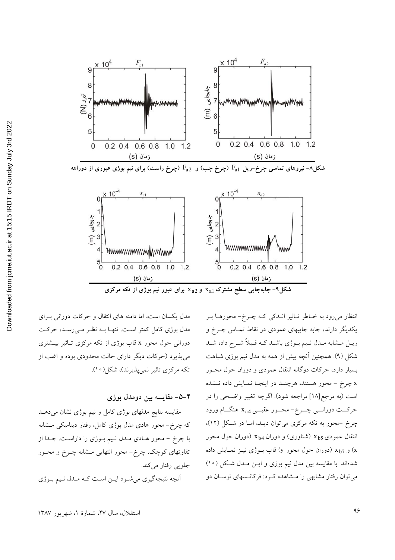



شکل۹– جابهجایی سطح مشترک x<sub>a1</sub> و x<sub>a2</sub> برای عبور نیم بوژی از تکه مرکزی

انتظار میرود به خباطر تباثیر انبدکی ک چجرخ-محورها ببر یکدیگر دارند، جابه جاییهای عمودی در نقاط تمـاس چــرخ و ریـل مـشابه مـدل نـیم بـوژي باشـد کـه قـبلاً شـرح داده شـد شکل (۹). همچنین آنچه بیش از همه به مدل نیم بوژی شباهت بسیار دارد، حرکات دوگانه انتقال عمودی و دوران حول محـور x چرخ – محور هستند، هرچنـد در اینجـا نمـایش داده نــشده است (به مرجع[۱۸] مراجعه شود). اگرچه تغییر واضحی را در حرکــت دورانـــي چـــرخ- محـــور عقبـــي 43 هنگـــام ورود چرخ -محور به تکه مرکزی می توان دیـد، امـا در شـکل (١٢)، انتقال عمودی x  $_{\rm b5}$  (شناوری) و دوران x $_{\rm b4}$  (دوران حول محور و x<sub>b7</sub> (دوران حول محور y) قاب بــوژي نيــز نمــايش داده

شدهاند. با مقایسه بین مدل نیم بوژی و ایــن مــدل شــکل (١٠) می توان رفتار مشابهی را مـشاهده کـرد: فرکانـسهای نوسـان دو

مدل یکسان است، اما دامنه های انتقال و حرکات دورانی بـرای مدل بوژی کامل کمتر است. تنهـا بـه نظـر مـیرسـد، حرکـت دورانی حول محور x قاب بوژی از تکه مرکزی تـاثیر بیـشتری می پذیرد (حرکات دیگر دارای حالت محدودی بوده و اغلب از تکه مرکزی تاثیر نمی پذیرند)، شکل(۱۰).

#### ۴–۵– مقايسه بين دومدل بوژي

مقایسه نتایج مدلهای بوژی کامل و نیم بوژی نشان میدهـد که چرخ- محور هادی مدل بوژی کامل، رفتار دینامیکی مشابه با چرخ - محور هـادي مـدل نـيم بـوژي را داراسـت. جـدا از تفاوتهای کوچک، چرخ- محور انتهایی مشابه چـرخ و محـور جلويي رفتار مي كند.

أنچه نتیجهگیری میشود ایـن اسـت کـه مـدل نـیم بـوژی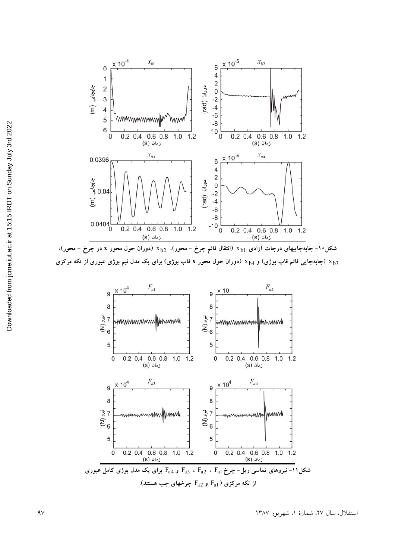

شکل۱۰– جابهجاییهای درجات آزادی  $\rm\,x_{b1}$  (انتقال قائم چرخ – محور)،  $\rm\,x_{b2}$  (دوران حول محور x در چرخ – محور)، ردور از تکه مرکزی ( x میلا ردوران حول محور x قاب بوژی) برای یک مدل نیم بوژی عبوری از تکه مرکزی (x می كزی ( x م

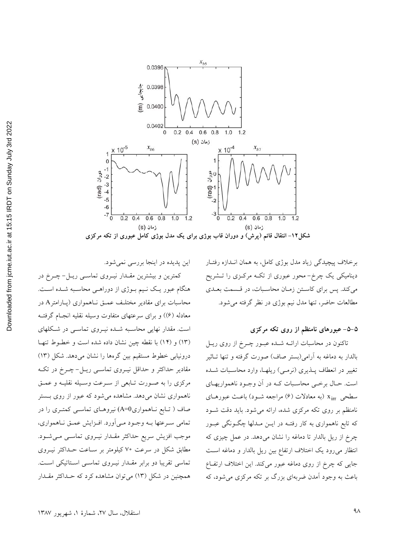

برخلاف پیچیدگی زیاد مدل بوژی کامل، به همان انـدازه رفتـار دینامیکی یک چرخ- محور عبوری از تکـه مرکـزی را تـشریح می کند. پس برای کاستن زمان محاسبات، در قسمت بعلدی مطالعات حاضر، تنها مدل نيم بوژي در نظر گرفته مي شود.

#### ۵–۵– عبورهای نامنظم از روی تکه مرکزی

تاکنون در محاسبات ارائــه شــده عبــور چــرخ از روی ريــل بالدار به دماغه به آرامی(بستر صاف) صورت گرفته و تنها تـاثیر تغییر در انعطاف پـذیری (نرمـی) ریلهـا، وارد محاسـبات شـده است. حـال برخـي محاسـبات كـه در أن وجـود ناهمواريهـاي سطحی xirr (به معادلات (۶) مراجعه شـود) باعـث عبورهـای نامنظم بر روی تکه مرکزی شده، ارائه می شود. باید دقت شـود که تابع ناهمواری به کار رفتـه در ایــن مــدلها چگــونگی عبــور چرخ از ریل بالدار تا دماغه را نشان میدهد. در عمل چیزی که انتظار میرود یک اختلاف ارتفاع بین ریل بالدار و دماغه است جایی که چرخ از روی دماغه عبور میکند. این اختلاف ارتفاع باعث به وجود آمدن ضربهای بزرگ بر تکه مرکزی می شود، که

این پدیده در اینجا بررسی نمیشود. کمترین و بیشترین مقــدار نیــروی تماســی ریــل-چــرخ در هنگام عبور یک نـیم بـوژی از دوراهـی محاسـبه شـده اسـت. محاسبات برای مقادیر مختلـف عمـق نـاهمواری (پـارامترA در معادله (۶)) و برای سرعتهای متفاوت وسیله نقلیه انجـام گرفتـه است. مقدار نهایی محاسبه شده نیروی تماسی در شکلهای (١٣) و (١٤) با نقطه چين نشان داده شده است و خطـوط تنهـا درونیابی خطوط مستقیم بین گرهها را نشان میدهد. شکل (۱۳) مقادیر حداکثر و حداقل نیـروی تماسـی ریـل-چـرخ در تکـه مرکزی را به صورت تـابعی از سـرعت وسـيله نقليـه و عمـق ناهمواری نشان می دهد. مشاهده می شود که عبور از روی بـستر صاف ( تـابع نــاهمواریA=0) نیروهـای تماســی کمتـری را در تمامي سـرعتها بــه وجــود مــي|ورد. افــزايش عمــق نــاهمواري، موجب افزیش سریع حداکثر مقــدار نیــروی تماســی مــیشــود. مطابق شکل در سرعت ۷۰ کیلومتر بر سـاعت حـداکثر نیـروی تماسی تقریبا دو برابر مقـدار نیـروی تماسـی اسـتاتیکی اسـت. همچنین در شکل (۱۳) می توان مشاهده کرد که حـداکثر مقـدار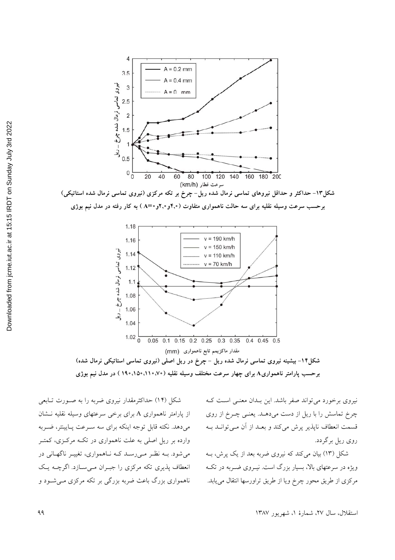

شکل۱۳– حداکثر و حداقل نیروهای تماسی نرمال شده ریل–چرخ بر تکه مرکزی (نیروی تماسی نرمال شده استاتیکی) برحسب سرعت وسیله نقلیه برای سه حالت ناهمواری متفاوت (۴٫۰و۲٫۰و-A=) به کار رفته در مدل نیم بوژی



شکل (۱۴) حداکثرمقدار نیروی ضربه را به صـورت تـابعی از پارامتر ناهمواری A برای برخی سرعتهای وسیله نقلیه نشان می دهد. نکته قابل توجه اینکه برای سه سرعت پایینتر، ضربه وارده بر ریل اصلی به علت ناهمواری در تکـه مرکـزی، کمتـر می شود. بـه نظـر مــی(سـد کـه نـاهمواری، تغییـر ناگهـانی در انعطاف پذیری تکه مرکزی را جبران می سازد. اگرچـه یـک ناهمواري بزرگ باعث ضربه بزرگي بر تکه مرکزي مـي شــود و

نیروی برخورد می تواند صفر باشد. این بـدان معنـی اسـت کـه چرخ تماسش را با ریل از دست میدهـد. یعنـی چـرخ از روی قسمت انعطاف ناپذیر پرش میکند و بعـد از آن مـی توانــد بــه روي ريل برگردد.

شکل (۱۳) بیان می کند که نیروی ضربه بعد از یک پرش، بــه ویژه در سرعتهای بالا، بسیار بزرگ است. نیــروی ضــربه در تکــه مركزي از طريق محور چرخ ويا از طريق تراورسها انتقال مي يابد.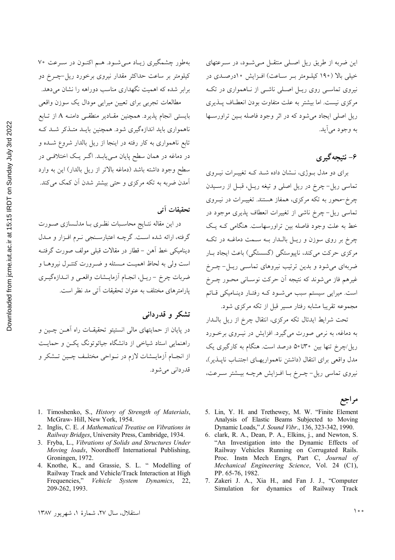بهطور چشمگیری زیاد می شود. هم اکنون در سرعت ۷۰ کیلومتر بر ساعت حداکثر مقدار نیروی برخورد ریل-چــرخ دو برابر شده که اهمیت نگهداری مناسب دوراهه را نشان میدهد.

مطالعات تجربي براى تعيين ميرايي مودال يك سوزن واقعى بایستی انجام پذیرد. همچنین مقـادیر منطقـبی دامنــه A از تــابع ناهمواری باید اندازهگیری شود. همچنین بایـد متـذکر شـد کـه تابع ناهمواری به کار رفته در اینجا از ریل بالدار شروع شـده و در دماغه در همان سطح پایان مـیbیابـد. اگــر یــک اختلافــی در سطح وجود داشته باشد (دماغه بالاتر از ريل بالدار) اين به وارد آمدن ضربه به تکه مرکزی و حتی بیشتر شدن آن کمک می کند.

## تحقيقات آتي

در این مقاله نتـایج محاسـبات نظـری بـا مدلـسازی صـورت گرفته، ارائه شده است. گرچــه اعتبارسـنجي نــرم افــزار و مــدل ديناميكي خط أهن – قطار در مقالات قبلي مولف صورت گرفتــه است ولي به لحاظ اهميت مـسئله و ضـرورت كنتـرل نيروهـا و ضربات چرخ – ریـل، انجـام آزمایــشات واقعـی و انــدازهگیـری پارامترهای مختلف به عنوان تحقیقات آتی مد نظر است.

#### تشکر و قدردانی

در پایان از حمایتهای مالی انستیتو تحقیقـات راه آهــن چــین و راهنمایی استاد شیاخی از دانشگاه جیائوتونگ پکــن و حمایــت از انجـام آزمایــشات لازم در نــواحی مختلـف چــین تــشکر و قدرداني مي شود.

- 1. Timoshenko, S., History of Strength of Materials, McGraw-Hill, New York, 1954.
- 2. Inglis, C. E. A Mathematical Treatise on Vibrations in Railway Bridges, University Press, Cambridge, 1934.
- 3. Fryba, L., Vibrations of Solids and Structures Under Moving loads, Noordhoff International Publishing, Groningen, 1972.
- 4. Knothe, K., and Grassie, S. L. " Modelling of Railway Track and Vehicle/Track Interaction at High Frequencies," Vehicle System Dynamics, 22, 209-262, 1993.

این ضربه از طریق ریل اصلی منتقـل مـی شـود، در سـرعتهای خيلي بالا (١٩٠ كيلـومتر بـر سـاعت) افـزايش ١٠درصـدي در نیروی تماسـی روی ریـل اصـلی ناشـی از نـاهمواری در تکـه مرکزی نیست. اما بیشتر به علت متفاوت بودن انعطـاف پـــذیری ریل اصلی ایجاد می شود که در اثر وجود فاصله بسین تراورستها به وجود مي اَيد.

## ۶- نتیجه گیر ی

برای دو مدل بوژی، نـشان داده شــد کــه تغییــرات نیــروی تماسي ريل-چرخ در ريل اصلي و تيغه ريـل، قبـل از رسـيدن چرخ-محور به تکه مرکزی، همفاز هستند. تغییـرات در نیـروی تماسی ریل-چرخ ناشی از تغییرات انعطاف پذیری موجود در خط به علت وجود فاصله بین تراورسهاست. هنگامی کـه یـک چرخ بر روی سوزن و ریـل بالـدار بـه سـمت دماغـه در تکـه مرکزی حرکت می کند، ناپیوستگی (گسستگی) باعث ایجاد بـار ضربهای میشود و بدین ترتیب نیروهای تماسـی ریـل-چــرخ غیرهم فاز می شوند که نتیجه آن حرکت نوسـانی محـور چــرخ است. میرایی سیستم سبب می شود که رفتار دینامیکی قائم مجموعه تقریبا مشابه رفتار مسیر قبل از تکه مرکزی شود.

تحت شرایط ایدئال تکه مرکزی، انتقال چرخ از ریل بالـدار به دماغه، به نرمی صورت میگیرد. افزایش در نیـروی برخـورد ریل/چرخ تنها بین ۳۰تا۵۰ درصد است. هنگام به کارگیری یک مدل واقعی برای انتقال (داشتن ناهمواریهای اجتنـاب نایــذیر)، نیروی تماسی ریل-چرخ با افزایش هرچه بیشتر سرعت،

#### مراجع

- 5. Lin, Y. H. and Trethewey, M. W. "Finite Element Analysis of Elastic Beams Subjected to Moving Dynamic Loads," J. Sound Vibr., 136, 323-342, 1990.
- 6. clark, R. A., Dean, P. A., Elkins, j., and Newton, S. "An Investigation into the Dynamic Effects of Railway Vehicles Running on Corrugated Rails. Proc. Instn Mech Engrs, Part C, Journal of Mechanical Engineering Science, Vol. 24 (C1), PP. 65-76, 1982.
- 7. Zakeri J. A., Xia H., and Fan J. J., "Computer Simulation for dynamics of Railway Track